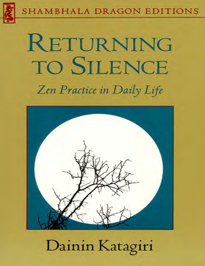

SHAMBHALA DRAGON EDITIONS

# RETURNING TO SILENCE Zen Practice in Daily Life



# Dainin Katagiri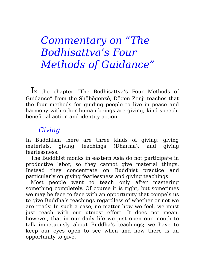*Commentary on "The Bodhisattva's Four Methods of Guidance"*

I<sub>N</sub> the chapter "The Bodhisattva's Four Methods of Guidance" from the Shōbōgenzō, Dōgen Zenji teaches that the four methods for guiding people to live in peace and harmony with other human beings are giving, kind speech, beneficial action and identity action.

#### *Giving*

In Buddhism there are three kinds of giving: giving materials, giving teachings (Dharma), and giving fearlessness.

The Buddhist monks in eastern Asia do not participate in productive labor, so they cannot give material things. Instead they concentrate on Buddhist practice and particularly on giving fearlessness and giving teachings.

Most people want to teach only after mastering something completely. Of course it is right, but sometimes we may be face to face with an opportunity that compels us to give Buddha's teachings regardless of whether or not we are ready. In such a case, no matter how we feel, we must just teach with our utmost effort. It does not mean, however, that in our daily life we just open our mouth to talk impetuously about Buddha's teachings; we have to keep our eyes open to see when and how there is an opportunity to give.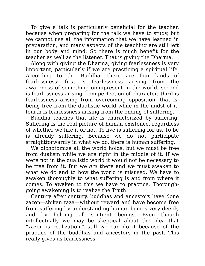To give a talk is particularly beneficial for the teacher, because when preparing for the talk we have to study, but we cannot use all the information that we have learned in preparation, and many aspects of the teaching are still left in our body and mind. So there is much benefit for the teacher as well as the listener. That is giving the Dharma.

Along with giving the Dharma, giving fearlessness is very important, particularly if we are practicing a spiritual life. According to the Buddha, there are four kinds of fearlessness: first is fearlessness arising from the awareness of something omnipresent in the world; second is fearlessness arising from perfection of character; third is fearlessness arising from overcoming opposition, that is, being free from the dualistic world while in the midst of it; fourth is fearlessness arising from the ending of suffering.

Buddha teaches that life is characterized by suffering. Suffering is the real picture of human existence, regardless of whether we like it or not. To live is suffering for us. To be is already suffering. Because we do not participate straightforwardly in what we do, there is human suffering.

We dichotomize all the world holds, but we must be free from dualism while we are right in the middle of it. If we were not in the dualistic world it would not be necessary to be free from it. But we *are* there and we must awaken to what we do and to how the world is misused. We have to awaken thoroughly to what suffering is and from where it comes. To awaken to this we have to practice. Thoroughgoing awakening is to realize the Truth.

Century after century, buddhas and ancestors have done zazen—shikan taza—without reward and have become free from suffering by understanding human beings very deeply and by helping all sentient beings. Even though intellectually we may be skeptical about the idea that "zazen is realization," still we can do it because of the practice of the buddhas and ancestors in the past. This really gives us fearlessness.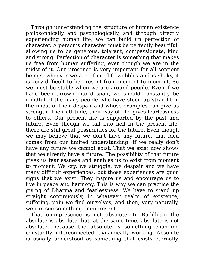Through understanding the structure of human existence philosophically and psychologically, and through directly experiencing human life, we can build up perfection of character. A person's character must be perfectly beautiful, allowing us to be generous, tolerant, compassionate, kind and strong. Perfection of character is something that makes us free from human suffering, even though we are in the midst of it. Our presence is very important for all sentient beings, whoever we are. If our life wobbles and is shaky, it is very difficult to be present from moment to moment. So we must be stable when we are around people. Even if we have been thrown into despair, we should constantly be mindful of the many people who have stood up straight in the midst of their despair and whose examples can give us strength. Their attitude, their way of life, gives fearlessness to others. Our present life is supported by the past and future. Even though we fall into hell in the present life, there are still great possibilities for the future. Even though we may believe that we don't have any future, that idea comes from our limited understanding. If we really don't have any future we cannot exist. That we exist now shows that we already have a future. The possibility of that future gives us fearlessness and enables us to exist from moment to moment. We cry, we struggle, we despair and we have many difficult experiences, but those experiences are good signs that we exist. They inspire us and encourage us to live in peace and harmony. This is why we can practice the giving of Dharma and fearlessness. We have to stand up straight continuously, in whatever realm of existence, suffering, pain we find ourselves, and then, very naturally, we can see something omnipresent.

That omnipresence is not absolute. In Buddhism the absolute is absolute, but, at the same time, absolute is not absolute, because the absolute is something changing constantly, interconnected, dynamically working. Absolute is usually understood as something that exists eternally,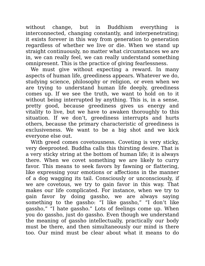without change, but in Buddhism everything is interconnected, changing constantly, and interpenetrating; it exists forever in this way from generation to generation regardless of whether we live or die. When we stand up straight continuously, no matter what circumstances we are in, we can really feel, we can really understand something omnipresent. This is the practice of giving fearlessness.

We must give without expecting a reward. In many aspects of human life, greediness appears. Whatever we do, studying science, philosophy or religion, or even when we are trying to understand human life deeply, greediness comes up. If we see the truth, we want to hold on to it without being interrupted by anything. This is, in a sense, pretty good, because greediness gives us energy and vitality to live, but we have to awaken thoroughly to this situation. If we don't, greediness interrupts and hurts others, because the primary characteristic of greediness is exclusiveness. We want to be a big shot and we kick everyone else out.

With greed comes covetousness. Coveting is very sticky, very deeprooted. Buddha calls this thirsting desire. That is a very sticky string at the bottom of human life; it is always there. When we covet something we are likely to curry favor. This means to seek favors by fawning or flattering, like expressing your emotions or affections in the manner of a dog wagging its tail. Consciously or unconsciously, if we are covetous, we try to gain favor in this way. That makes our life complicated. For instance, when we try to gain favor by doing gassho, we are always saying something to the gassho: "I like gassho," "I don't like gassho," "I hate gassho." Lots of feelings come up. When you do gassho, just do gassho. Even though we understand the meaning of gassho intellectually, practically our body must be there, and then simultaneously our mind is there too. Our mind must be clear about what it means to do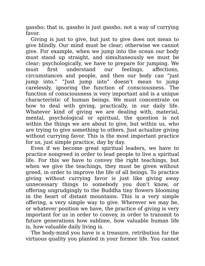gassho; that is, gassho is just gassho, not a way of currying favor.

Giving is just to give, but just to give does not mean to give blindly. Our mind must be clear; otherwise we cannot give. For example, when we jump into the ocean our body must stand up straight, and simultaneously we must be clear; psychologically, we have to prepare for jumping. We must first understand our feelings, affections, circumstances and people, and then our body can "just jump into." "Just jump into" doesn't mean to jump carelessly, ignoring the function of consciousness. The function of consciousness is very important and is a unique characteristic of human beings. We must concentrate on how to deal with giving, practically, in our daily life. Whatever kind of giving we are dealing with, material, mental, psychological or spiritual, the question is not within the things we are about to give, but within us, who are trying to give something to others. Just actualize giving without currying favor. This is the most important practice for us, just simple practice, day by day.

Even if we become great spiritual leaders, we have to practice nongreed in order to lead people to live a spiritual life. For this we have to convey the right teachings, but when we give the teachings, they must be given without greed, in order to improve the life of all beings. To practice giving without currying favor is just like giving away unnecessary things to somebody you don't know, or offering ungrudgingly to the Buddha tiny flowers blooming in the heart of distant mountains. This is a very simple offering, a very simple way to give. Wherever we may be, or whatever position we have, the practice of giving is very important for us in order to convey, in order to transmit to future generations how sublime, how valuable human life is, how valuable daily living is.

The body-mind you have is a treasure, retribution for the virtuous quality you planted in your former life. You cannot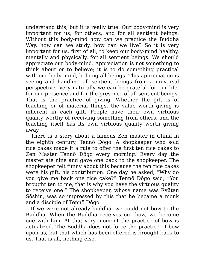understand this, but it is really true. Our body-mind is very important for us, for others, and for all sentient beings. Without this body-mind how can we practice the Buddha Way, how can we study, how can we live? So it is very important for us, first of all, to keep our body-mind healthy, mentally and physically, for all sentient beings. We should appreciate our body-mind. Appreciation is not something to think about or to believe; it is to do something practical with our body-mind, helping all beings. This appreciation is seeing and handling all sentient beings from a universal perspective. Very naturally we can be grateful for our life, for our presence and for the presence of all sentient beings. That is the practice of giving. Whether the gift is of teaching or of material things, the value worth giving is inherent in each gift. People have their own virtuous quality worthy of receiving something from others, and the teaching itself has its own virtuous quality worth giving away.

There is a story about a famous Zen master in China in the eighth century, Tennō Dōgo. A shopkeeper who sold rice cakes made it a rule to offer the first ten rice cakes to Zen Master Tennō Dōgo every morning. Every day the master ate nine and gave one back to the shopkeeper. The shopkeeper felt funny about this because the ten rice cakes were his gift, his contribution. One day he asked, "Why do you give me back one rice cake?" Tennō Dōgo said, "You brought ten to me, that is why you have the virtuous quality to receive one." The shopkeeper, whose name was Ryūtan Sōshin, was so impressed by this that he became a monk and a disciple of Tennō Dōgo.

If we were not already buddha, we could not bow to the Buddha. When the Buddha receives our bow, we become one with him. At that very moment the practice of bow is actualized. The Buddha does not force the practice of bow upon us, but that which has been offered is brought back to us. That is all, nothing else.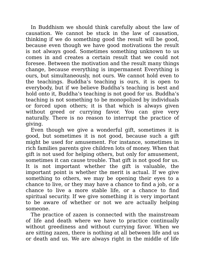In Buddhism we should think carefully about the law of causation. We cannot be stuck in the law of causation, thinking if we do something good the result will be good, because even though we have good motivations the result is not always good. Sometimes something unknown to us comes in and creates a certain result that we could not foresee. Between the motivation and the result many things change, because everything is impermanent Everything is ours, but simultaneously, not ours. We cannot hold even to the teachings. Buddha's teaching is ours, it is open to everybody, but if we believe Buddha's teaching is best and hold onto it, Buddha's teaching is not good for us. Buddha's teaching is not something to be monopolized by individuals or forced upon others; it is that which is always given without greed or currying favor. You can give very naturally. There is no reason to interrupt the practice of giving.

Even though we give a wonderful gift, sometimes it is good, but sometimes it is not good, because such a gift might be used for amusement. For instance, sometimes in rich families parents give children lots of money. When that gift is not used for helping others, but only for amusement, sometimes it can cause trouble. That gift is not good for us. It is not important whether the gift is valuable, the important point is whether the merit is actual. If we give something to others, we may be opening their eyes to a chance to live, or they may have a chance to find a job, or a chance to live a more stable life, or a chance to find spiritual security. If we give something it is very important to be aware of whether or not we are actually helping someone.

The practice of zazen is connected with the mainstream of life and death where we have to practice continually without greediness and without currying favor. When we are sitting zazen, there is nothing at all between life and us or death and us. We are always right in the middle of life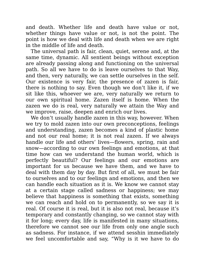and death. Whether life and death have value or not, whether things have value or not, is not the point. The point is how we deal with life and death when we are right in the middle of life and death.

The universal path is fair, clean, quiet, serene and, at the same time, dynamic. All sentient beings without exception are already passing along and functioning on the universal path. So all we have to do is leave ourselves to that Way, and then, very naturally, we can settle ourselves in the self. Our existence is very fair, the presence of zazen is fair, there is nothing to say. Even though we don't like it, if we sit like this, whoever we are, very naturally we return to our own spiritual home. Zazen itself is home. When the zazen we do is real, very naturally we attain the Way and we improve, raise, deepen and enrich our lives.

We don't usually handle zazen in this way, however. When we try to mold zazen into our own preconceptions, feelings and understanding, zazen becomes a kind of plastic home and not our real home; it is not real zazen. If we always handle our life and others' lives—flowers, spring, rain and snow—according to our own feelings and emotions, at that time how can we understand the human world, which is perfectly beautiful? Our feelings and our emotions are important for us because we have them, and we have to deal with them day by day. But first of all, we must be fair to ourselves and to our feelings and emotions, and then we can handle each situation as it is. We know we cannot stay at a certain stage called sadness or happiness; we may believe that happiness is something that exists, something we can reach and hold on to permanently, so we say it is real. Of course it is real, but it is also not real, because it's temporary and constantly changing, so we cannot stay with it for long; every day, life is manifested in many situations, therefore we cannot see our life from only one angle such as sadness. For instance, if we attend sesshin immediately we feel uncomfortable and say, "Why is it we have to do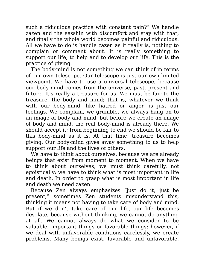such a ridiculous practice with constant pain?" We handle zazen and the sesshin with discomfort and stay with that, and finally the whole world becomes painful and ridiculous. All we have to do is handle zazen as it really is, nothing to complain or comment about. It is really something to support our life, to help and to develop our life. This is the practice of giving.

The body-mind is not something we can think of in terms of our own telescope. Our telescope is just our own limited viewpoint. We have to use a universal telescope, because our body-mind comes from the universe, past, present and future. It's really a treasure for us. We must be fair to the treasure, the body and mind; that is, whatever we think with our body-mind, like hatred or anger, is just our feelings. We complain, we grumble, we always hang on to an image of body and mind, but before we create an image of body and mind, the real body-mind is already there. We should accept it; from beginning to end we should be fair to this body-mind as it is. At that time, treasure becomes giving. Our body-mind gives away something to us to help support our life and the lives of others.

We have to think about ourselves, because we are already beings that exist from moment to moment. When we have to think about ourselves, we must think carefully, not egoistically; we have to think what is most important in life and death. In order to grasp what is most important in life and death we need zazen.

Because Zen always emphasizes "just do it, just be present," sometimes Zen students misunderstand this, thinking it means not having to take care of body and mind. But if we don't take care of our life, our life becomes desolate, because without thinking, we cannot do anything at all. We cannot always do what we consider to be valuable, important things or favorable things; however, if we deal with unfavorable conditions carelessly, we create problems. Many beings exist, favorable and unfavorable.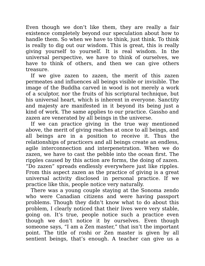Even though we don't like them, they are really a fair existence completely beyond our speculation about how to handle them. So when we have to think, just think. To think is really to dig out our wisdom. This is great, this is really giving yourself to yourself. It is real wisdom. In the universal perspective, we have to think of ourselves, we have to think of others, and then we can give others treasure.

If we give zazen to zazen, the merit of this zazen permeates and influences all beings visible or invisible. The image of the Buddha carved in wood is not merely a work of a sculptor, nor the fruits of his scriptural technique, but his universal heart, which is inherent in everyone. Sanctity and majesty are manifested in it beyond its being just a kind of work. The same applies to our practice. Gassho and zazen are venerated by all beings in the universe.

If we can practice giving in the true way mentioned above, the merit of giving reaches at once to all beings, and all beings are in a position to receive it. Thus the relationships of practicers and all beings create an endless, agile interconnection and interpenetration. When we do zazen, we have to cast the pebble into the ocean first. The ripples caused by this action are forms, the doing of zazen. "Do zazen" spreads endlessly everywhere just like ripples. From this aspect zazen as the practice of giving is a great universal activity disclosed in personal practice. If we practice like this, people notice very naturally.

There was a young couple staying at the Sonoma zendo who were Canadian citizens and were having passport problems. Though they didn't know what to do about this problem, I clearly noticed that their lives were very stable, going on. It's true, people notice such a practice even though we don't notice it by ourselves. Even though someone says, "I am a Zen master," that isn't the important point. The title of roshi or Zen master is given by all sentient beings, that's enough. A teacher can give us a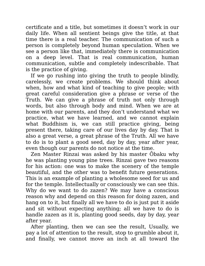certificate and a title, but sometimes it doesn't work in our daily life. When all sentient beings give the title, at that time there is a real teacher. The communication of such a person is completely beyond human speculation. When we see a person like that, immediately there is communication on a deep level. That is real communication, human communication, subtle and completely indescribable. That is the practice of giving.

If we go rushing into giving the truth to people blindly, carelessly, we create problems. We should think about when, how and what kind of teaching to give people; with great careful consideration give a phrase or verse of the Truth. We can give a phrase of truth not only through words, but also through body and mind. When we are at home with our parents, and they don't understand what we practice, what we have learned, and we cannot explain what Buddhism is, we can still practice giving, being present there, taking care of our lives day by day. That is also a great verse, a great phrase of the Truth. All we have to do is to plant a good seed, day by day, year after year, even though our parents do not notice at the time.

Zen Master Rinzai was asked by his master Ōbaku why he was planting young pine trees. Rinzai gave two reasons for his action: one was to make the scenery of the temple beautiful, and the other was to benefit future generations. This is an example of planting a wholesome seed for us and for the temple. Intellectually or consciously we can see this. Why do we want to do zazen? We may have a conscious reason why and depend on this reason for doing zazen, and hang on to it, but finally all we have to do is just put it aside and sit without expecting anything; all we have to do is handle zazen as it is, planting good seeds, day by day, year after year.

After planting, then we can see the result, Usually, we pay a lot of attention to the result, stop to grumble about it, and finally, we cannot move an inch at all toward the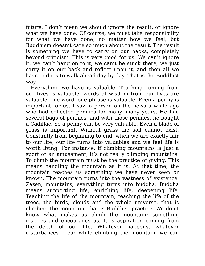future. I don't mean we should ignore the result, or ignore what we have done. Of course, we must take responsibility for what we have done, no matter how we feel, but Buddhism doesn't care so much about the result. The result is something we have to carry on our backs, completely beyond criticism. This is very good for us. We can't ignore it, we can't hang on to it, we can't be stuck there; we just carry it on our back and reflect upon it, and then all we have to do is to walk ahead day by day. That is the Buddhist way.

Everything we have is valuable. Teaching coming from our lives is valuable, words of wisdom from our lives are valuable, one word, one phrase is valuable. Even a penny is important for us. I saw a person on the news a while ago who had collected pennies for many, many years. He had several bags of pennies, and with those pennies, he bought a Cadillac. So a penny can be very valuable. Even a blade of grass is important. Without grass the soil cannot exist. Constantly from beginning to end, when we are exactly fair to our life, our life turns into valuables and we feel life is worth living. For instance, if climbing mountains IS Just a sport or an amusement, it's not really climbing mountains. To climb the mountain must be the practice of giving. This means handling the mountain as it is. At that time, the mountain teaches us something we have never seen or known. The mountain turns into the vastness of existence. Zazen, mountains, everything turns into buddha. Buddha means supporting life, enriching life, deepening life. Teaching the life of the mountain, teaching the life of the trees, the birds, clouds and the whole universe, that is climbing the mountain, that is Buddhist practice. We don't know what makes us climb the mountain; something inspires and encourages us. It is aspiration coming from the depth of our life. Whatever happens, whatever disturbances occur while climbing the mountain, we can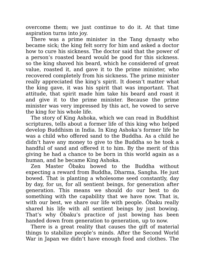overcome them; we just continue to do it. At that time aspiration turns into joy.

There was a prime minister in the Tang dynasty who became sick; the king felt sorry for him and asked a doctor how to cure his sickness. The doctor said that the power of a person's roasted beard would be good for this sickness. so the king shaved his beard, which he considered of great value, roasted it, and gave it to the prime minister, who recovered completely from his sickness. The prime minister really appreciated the king's spirit. It doesn't matter what the king gave, it was his spirit that was important. That attitude, that spirit made him take his beard and roast it and give it to the prime minister. Because the prime minister was very impressed by this act, he vowed to serve the king for his whole life.

The story of King Ashoka, which we can read in Buddhist scriptures, tells about a former life of this king who helped develop Buddhism in India. In King Ashoka's former life he was a child who offered sand to the Buddha. As a child he didn't have any money to give to the Buddha so he took a handful of sand and offered it to him. By the merit of this giving he had a chance to be born in this world again as a human, and he became King Ashoka.

Zen Master Ōbaku bowed to the Buddha without expecting a reward from Buddha, Dharma, Sangha. He just bowed. That is planting a wholesome seed constantly, day by day, for us, for all sentient beings, for generation after generation. This means we should do our best to do something with the capability that we have now. That is, with our best, we share our life with people. Obaku really shared his life with all sentient beings by just bowing. That's why Ōbaku's practice of just bowing has been handed down from generation to generation, up to now.

There is a great reality that causes the gift of material things to stabilize people's minds. After the Second World War in Japan we didn't have enough food and clothes. The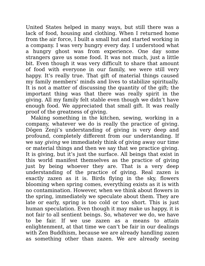United States helped in many ways, but still there was a lack of food, housing and clothing. When I returned home from the air force, I built a small hut and started working in a company. I was very hungry every day. I understood what a hungry ghost was from experience. One day some strangers gave us some food. It was not much, just a little bit. Even though it was very difficult to share that amount of food with everyone in our family, we were still very happy. It's really true. That gift of material things caused my family members' minds and lives to stabilize spiritually. It is not a matter of discussing the quantity of the gift; the important thing was that there was really spirit in the giving. All my family felt stable even though we didn't have enough food. We appreciated that small gift. It was really proof of the greatness of giving.

Making something in the kitchen, sewing, working in a company, whatever we do is really the practice of giving. Dōgen Zenji's understanding of giving is very deep and profound, completely different from our understanding. If we say *giving* we immediately think of giving away our time or material things and then we say that we practice giving. It is giving, but it's just the surface. All beings that exist in this world manifest themselves as the practice of giving just by being whoever they are. That is a very deep understanding of the practice of giving. Real zazen is exactly zazen as it is. Birds flying in the sky, flowers blooming when spring comes, everything exists as it is with no contamination. However, when we think about flowers in the spring, immediately we speculate about them. They are late or early, spring is too cold or too short. This is just human speculation. Even though it may make us happy, it is not fair to all sentient beings. So, whatever we do, we have to be fair. If we use zazen as a means to attain enlightenment, at that time we can't be fair in our dealings with Zen Buddhism, because we are already handling zazen as something other than zazen. We are already seeing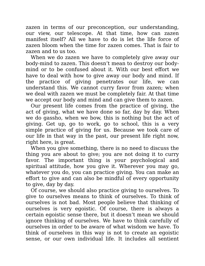zazen in terms of our preconception, our understanding, our view, our telescope. At that time, how can zazen manifest itself? All we have to do is let the life force of zazen bloom when the time for zazen comes. That is fair to zazen and to us too.

When we do zazen we have to completely give away our body-mind to zazen. This doesn't mean to destroy our bodymind or to be confused about it. With our best effort we have to deal with how to give away our body and mind. If the practice of giving penetrates our life, we can understand this. We cannot curry favor from zazen; when we deal with zazen we must be completely fair. At that time we accept our body and mind and can give them to zazen.

Our present life comes from the practice of giving, the act of giving, what we have done so far, day by day. When we do gassho, when we bow, this is nothing but the act of giving. Get up, go to work, go to school, this is a very simple practice of giving for us. Because we took care of our life in that way in the past, our present life right now, right here, is great.

When you give something, there is no need to discuss the thing you are about to give; you are not doing it to curry favor. The important thing is your psychological and spiritual attitude, how you give it. Wherever you may go, whatever you do, you can practice giving. You can make an effort to give and can also be mindful of every opportunity to give, day by day.

Of course, we should also practice giving to ourselves. To give to ourselves means to think of ourselves. To think of ourselves is not bad. Most people believe that thinking of ourselves is very egoistic. Of course, there is always a certain egoistic sense there, but it doesn't mean we should ignore thinking of ourselves. We have to think carefully of ourselves in order to be aware of what wisdom we have. To think of ourselves in this way is not to create an egoistic sense, or our own individual life. It includes all sentient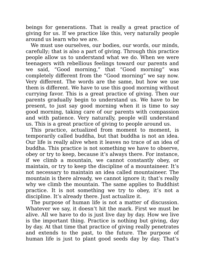beings for generations. That is really a great practice of giving for us. If we practice like this, very naturally people around us learn who we are.

We must use ourselves, our bodies, our words, our minds, carefully; that is also a part of giving. Through this practice people allow us to understand what we do. When we were teenagers with rebellious feelings toward our parents and we said, "Good morning," that "Good morning" was completely different from the "Good morning" we say now. Very different. The words are the same, but how we use them is different. We have to use this good morning without currying favor. This is a great practice of giving. Then our parents gradually begin to understand us. We have to be present, to just say good morning when it is time to say good morning, taking care of our parents with compassion and with patience. Very naturally, people will understand us. This is a great practice of giving to people around us.

This practice, actualized from moment to moment, is temporarily called buddha, but that buddha is not an idea. Our life is really alive when it leaves no trace of an idea of buddha. This practice is not something we have to observe, obey or try to keep, because it's always there. For instance, if we climb a mountain, we cannot constantly obey, or maintain, or try to keep the discipline of a mountaineer. It's not necessary to maintain an idea called mountaineer. The mountain is there already, we cannot ignore it; that's really why we climb the mountain. The same applies to Buddhist practice. It is not something we try to obey, it's not a discipline. It's already there. Just actualize it.

The purpose of human life is not a matter of discussion. Whatever we say, it doesn't hit the mark. First we must be alive. All we have to do is just live day by day. How we live is the important thing. Practice is nothing but giving, day by day. At that time that practice of giving really penetrates and extends to the past, to the future. The purpose of human life is just to plant good seeds day by day. That's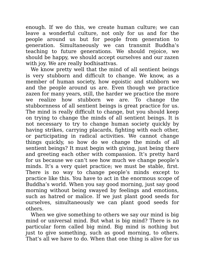enough. If we do this, we create human culture; we can leave a wonderful culture, not only for us and for the people around us but for people from generation to generation. Simultaneously we can transmit Buddha's teaching to future generations. We should rejoice, we should be happy, we should accept ourselves and our zazen with joy. We are really bodhisattvas.

We know pretty well that the mind of all sentient beings is very stubborn and difficult to change. We know, as a member of human society, how egoistic and stubborn we and the people around us are. Even though we practice zazen for many years, still, the harder we practice the more we realize how stubborn we are. To change the stubbornness of all sentient beings is great practice for us. The mind is really difficult to change, but you should keep on trying to change the minds of all sentient beings. It is not necessary to try to change human society quickly by having strikes, carrying placards, fighting with each other, or participating in radical activities. We cannot change things quickly, so how do we change the minds of all sentient beings? It must begin with giving, just being there and greeting each other with compassion. It's pretty hard for us because we can't see how much we change people's minds. It's a very quiet practice; we must be stable, first. There is no way to change people's minds except to practice like this. You have to act in the enormous scope of Buddha's world. When you say good morning, just say good morning without being swayed by feelings and emotions, such as hatred or malice. If we just plant good seeds for ourselves, simultaneously we can plant good seeds for others.

When we give something to others we say our mind is big mind or universal mind. But what is big mind? There is no particular form called big mind. Big mind is nothing but just to give something, such as good morning, to others. That's all we have to do. When that one thing is alive for us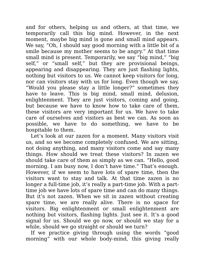and for others, helping us and others, at that time, we temporarily call this big mind. However, in the next moment, maybe big mind is gone and small mind appears. We say, "Oh, I should say good morning with a little bit of a smile because my mother seems to be angry." At that time small mind is present. Temporarily, we say "big mind," "big self," or "small self," but they are provisional beings, appearing and disappearing. They are just flashing lights, nothing but visitors to us. We cannot keep visitors for long, nor can visitors stay with us for long. Even though we say, "Would you please stay a little longer?" sometimes they have to leave. This is big mind, small mind, delusion, enlightenment. They are just visitors, coming and going, but because we have to know how to take care of them, these visitors are very important for us. We have to take care of ourselves and visitors as best we can. As soon as possible, we have to do something, we have to be hospitable to them.

Let's look at our zazen for a moment. Many visitors visit us, and so we become completely confused. We are sitting, not doing anything, and many visitors come and say many things. How should we treat these visitors? In zazen we should take care of them as simply as we can. "Hello, good morning. I am busy now, I don't have time." That's enough. However, if we seem to have lots of spare time, then the visitors want to stay and talk. At that time zazen is no longer a full-time job, it's really a part-time job. With a parttime job we have lots of spare time and can do many things. But it's not zazen. When we sit in zazen without creating spare time, we are really alive. There is no space for visitors. Big enlightenment or small enlightenment are nothing but visitors, flashing lights. Just see it. It's a good signal for us. Should we go now, or should we stay for a while, should we go straight or should we turn?

If we practice giving through using the words "good morning" with our whole body-mind, this giving really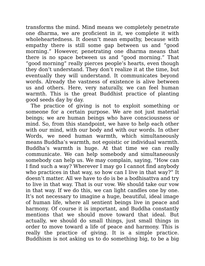transforms the mind. Mind means we completely penetrate one dharma, we are proficient in it, we complete it with wholeheartedness. It doesn't mean empathy, because with empathy there is still some gap between us and "good morning." However, penetrating one dharma means that there is no space between us and "good morning." That "good morning" really pierces people's hearts, even though they don't understand. They don't realize it at the time, but eventually they will understand. It communicates beyond words. Already the vastness of existence is alive between us and others. Here, very naturally, we can feel human warmth. This is the great Buddhist practice of planting good seeds day by day.

The practice of giving is not to exploit something or someone for a certain purpose. We are not just material beings; we are human beings who have consciousness or mind. So, from this standpoint, we have to help each other with our mind, with our body and with our words. In other Words, we need human warmth, which simultaneously means Buddha's warmth, not egoistic or individual warmth. Buddha's warmth is huge. At that time we can really communicate. We can help somebody and simultaneously somebody can help us. We may complain, saying, "How can I find such a way? Wherever I may go I cannot find anybody who practices in that way, so how can I live in that way?" It doesn't matter. All we have to do is be a bodhisattva and try to live in that way. That is our vow. We should take our vow in that way. If we do this, we can light candles one by one. It's not necessary to imagine a huge, beautiful, ideal image of human life, where all sentient beings live in peace and harmony. Of course it is important, and Buddha constantly mentions that we should move toward that ideal. But actually, we should do small things, just small things in order to move toward a life of peace and harmony. This is really the practice of giving. It is a simple practice. Buddhism is not asking us to do something big, to be a big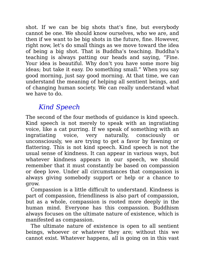shot. If we can be big shots that's fine, but everybody cannot be one. We should know ourselves, who we are, and then if we want to be big shots in the future, fine. However, right now, let's do small things as we move toward the idea of being a big shot. That is Buddha's teaching. Buddha's teaching is always patting our heads and saying, "Fine. Your idea is beautiful. Why don't you have some more big ideas; but take it easy. Do something small." When you say good morning, just say good morning. At that time, we can understand the meaning of helping all sentient beings, and of changing human society. We can really understand what we have to do.

## *Kind Speech*

The second of the four methods of guidance is kind speech. Kind speech is not merely to speak with an ingratiating voice, like a cat purring. If we speak of something with an ingratiating voice, very naturally, consciously or unconsciously, we are trying to get a favor by fawning or flattering. This is not kind speech. Kind speech is not the usual sense of kindness. It can appear in various ways, but whatever kindness appears in our speech, we should remember that it must constantly be based on compassion or deep love. Under all circumstances that compassion is always giving somebody support or help or a chance to grow.

Compassion is a little difficult to understand. Kindness is part of compassion, friendliness is also part of compassion, but as a whole, compassion is rooted more deeply in the human mind. Everyone has this compassion. Buddhism always focuses on the ultimate nature of existence, which is manifested as compassion.

The ultimate nature of existence is open to all sentient beings, whoever or whatever they are; without this we cannot exist. Whatever happens, all is going on in this vast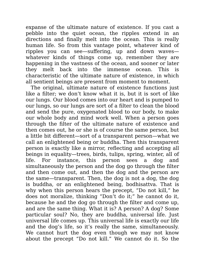expanse of the ultimate nature of existence. If you cast a pebble into the quiet ocean, the ripples extend in an directions and finally melt into the ocean. This is really human life. So from this vantage point, whatever kind of ripples you can see—suffering, up and down waves whatever kinds of things come up, remember they are happening in the vastness of the ocean, and sooner or later they melt back into the immense ocean. This is characteristic of the ultimate nature of existence, in which all sentient beings are present from moment to moment.

The original, ultimate nature of existence functions just like a filter; we don't know what it is, but it is sort of like our lungs. Our blood comes into our heart and is pumped to our lungs, so our lungs are sort of a filter to clean the blood and send the pure, oxygenated blood to our body, to make our whole body and mind work well. When a person goes through the filter of the ultimate nature of existence and then comes out, he or she is of course the same person, but a little bit different—sort of a transparent person—what we call an enlightened being or buddha. Then this transparent person is exactly like a mirror, reflecting and accepting all beings in equality—trees, birds, tulips, spring, winter, all of life. For instance, this person sees a dog and simultaneously the person and the dog go through the filter and then come out, and then the dog and the person are the same—transparent. Then, the dog is not a dog, the dog is buddha, or an enlightened being, bodhisattva. That is why when this person hears the precept, "Do not kill," he does not moralize, thinking "Don't do it;" he cannot do it, because he and the dog go through the filter and come up, and are the same thing. What it is? A person? A dog? Some particular soul? No, they are buddha, universal life. Just universal life comes up. This universal life is exactly our life and the dog's life, so it's really the same, simultaneously. We cannot hurt the dog even though we may not know about the precept "Do not kill." We cannot do it. So the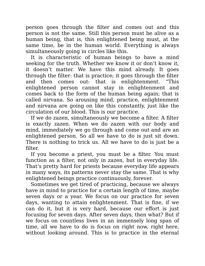person goes through the filter and comes out and this person is not the same. Still this person must be alive as a human being, that is, this enlightened being must, at the same time, be in the human world. Everything is always simultaneously going in circles like this.

It is characteristic of human beings to have a mind seeking for the truth. Whether we know it or don't know it, it doesn't matter. We have this mind already. It goes through the filter: that is practice; it goes through the filter and then comes out: that is enlightenment. "This enlightened person cannot stay in enlightenment and comes back to the form of the human being again; that is called nirvana. So arousing mind, practice, enlightenment and nirvana are going on like this constantly, just like the circulation of our blood. This is our practice.

If we do zazen, simultaneously we become a filter. A filter is exactly zazen. When we do zazen with our body and mind, immediately we go through and come out and are an enlightened person. So all we have to do is just sit down. There is nothing to trick us. All we have to do is just be a filter.

If you become a priest, you must be a filter. You must function as a filter, not only in zazen, but in everyday life. That's pretty hard for priests because everyday life appears in many ways, its patterns never stay the same. That is why enlightened beings practice continuously, forever.

Sometimes we get tired of practicing, because we always have in mind to practice for a certain length of time, maybe seven days or a year. We focus on our practice for seven days, wanting to attain enlightenment. That is fine, if we can do it, but it is very hard, because our effort is just focusing for seven days. After seven days, then what? But if we focus on countless lives in an immensely long span of time, all we have to do is focus on right now, right here, without looking around. This is to practice in the eternal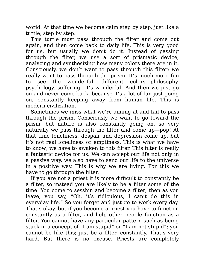world. At that time we become calm step by step, just like a turtle, step by step.

This turtle must pass through the filter and come out again, and then come back to daily life. This is very good for us, but usually we don't do it. Instead of passing through the filter, we use a sort of prismatic device, analyzing and synthesizing how many colors there are in it. Consciously, we don't want to pass through this filter; we really want to pass through the prism. It's much more fun to see the wonderful, different colors—philosophy, psychology, suffering—it's wonderful! And then we just go on and never come back, because it's a lot of fun just going on, constantly keeping away from human life. This is modern civilization.

Sometimes we miss what we're aiming at and fail to pass through the prism. Consciously we want to go toward the prism, but nature is also constantly going on, so very naturally we pass through the filter and come up—pop! At that time loneliness, despair and depression come up, but it's not real loneliness or emptiness. This is what we have to know; we have to awaken to this filter. This filter is really a fantastic device for us. We can accept our life not only in a passive way, we also have to send our life to the universe in a positive way. This is why we are living. For this we have to go through the filter.

If you are not a priest it is more difficult to constantly be a filter, so instead you are likely to be a filter some of the time. You come to sesshin and become a filter; then as you leave, you say, "Oh, it's ridiculous, I can't do this in everyday life." So you forget and just go to work every day. That's okay, but if you become a priest you have to function constantly as a filter, and help other people function as a filter. You cannot have any particular pattern such as being stuck in a concept of "I am stupid" or "I am not stupid"; you cannot be like this; just be a filter, constantly. That's very hard. But there is no excuse. Priests are completely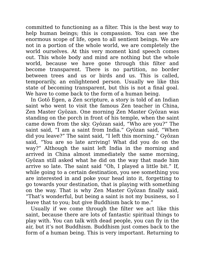committed to functioning as a filter. This is the best way to help human beings; this is compassion. You can see the enormous scope of life, open to all sentient beings. We are not in a portion of the whole world, we are completely the world ourselves. At this very moment kind speech comes out. This whole body and mind are nothing but the whole world, because we have gone through this filter and become transparent. There is no partition, no border between trees and us or birds and us. This is called, temporarily, an enlightened person. Usually we like this state of becoming transparent, but this is not a final goal. We have to come back to the form of a human being.

In Gotō Egen, a Zen scripture, a story is told of an Indian saint who went to visit the famous Zen teacher in China, Zen Master Gyōzan. One morning Zen Master Gyōzan was standing on the porch in front of his temple, when the saint came down from the sky. Gyōzan said, "Who are you?" The saint said, "I am a saint from India." Gyōzan said, "When did you leave?" The saint said, "I left this morning." Gyōzan said, "You are so late arriving! What did you do on the way?" Although the saint left India in the morning and arrived in China almost immediately the same morning, Gyōzan still asked what he did on the way that made him arrive so late. The saint said "Oh, I played a little bit." If, while going to a certain destination, you see something you are interested in and poke your head into it, forgetting to go towards your destination, that is playing with something on the way. That is why Zen Master Gyōzan finally said, "That's wonderful, but being a saint is not my business, so I leave that to you; but give Buddhism back to me."

Usually if we come through the filter we act like this saint, because there are lots of fantastic spiritual things to play with. You can talk with dead people, you can fly in the air, but it's not Buddhism. Buddhism just comes back to the form of a human being. This is very important. Returning to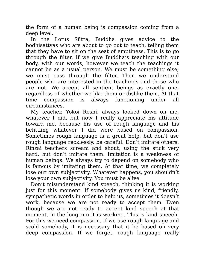the form of a human being is compassion coming from a deep level.

In the Lotus Sūtra, Buddha gives advice to the bodhisattvas who are about to go out to teach, telling them that they have to sit on the seat of emptiness. This is to go through the filter. If we give Buddha's teaching with our body, with our words, however we teach the teachings it cannot be as a usual person. We must be something else; we must pass through the filter. Then we understand people who are interested in the teachings and those who are not. We accept all sentient beings as exactly one, regardless of whether we like them or dislike them. At that time compassion is always functioning under all circumstances.

My teacher, Yokoi Roshi, always looked down on me, whatever I did, but now I really appreciate his attitude toward me, because his use of rough language and his belittling whatever I did were based on compassion. Sometimes rough language is a great help, but don't use rough language recklessly, be careful. Don't imitate others. Rinzai teachers scream and shout, using the stick very hard, but don't imitate them. Imitation is a weakness of human beings. We always try to depend on somebody who is famous by imitating them. At that time, we completely lose our own subjectivity. Whatever happens, you shouldn't lose your own subjectivity. You must be alive.

Don't misunderstand kind speech, thinking it is working just for this moment. If somebody gives us kind, friendly, sympathetic words in order to help us, sometimes it doesn't work, because we are not ready to accept them. Even though we are not ready to accept kind speech at that moment, in the long run it is working. This is kind speech. For this we need compassion. If we use rough language and scold somebody, it is necessary that it be based on very deep compassion. If we forget, rough language really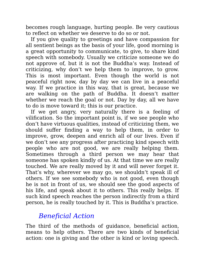becomes rough language, hurting people. Be very cautious to reflect on whether we deserve to do so or not.

If you give quality to greetings and have compassion for all sentient beings as the basis of your life, good morning is a great opportunity to communicate, to give, to share kind speech with somebody. Usually we criticize someone we do not approve of, but it is not the Buddha's way. Instead of criticizing, why don't we help them to improve, to grow. This is most important. Even though the world is not peaceful right now, day by day we can live in a peaceful way. If we practice in this way, that is great, because we are walking on the path of Buddha. It doesn't matter whether we reach the goal or not. Day by day, all we have to do is move toward it; this is our practice.

If we get angry, very naturally there is a feeling of vilification. So the important point is, if we see people who don't have virtuous qualities, instead of criticizing them, we should suffer finding a way to help them, in order to improve, grow, deepen and enrich all of our lives. Even if we don't see any progress after practicing kind speech with people who are not good, we are really helping them. Sometimes through a third person we may hear that someone has spoken kindly of us. At that time we are really touched. We are really moved by it and will never forget it. That's why, wherever we may go, we shouldn't speak ill of others. If we see somebody who is not good, even though he is not in front of us, we should see the good aspects of his life, and speak about it to others. This really helps. If such kind speech reaches the person indirectly from a third person, he is really touched by it. This is Buddha's practice.

#### *Beneficial Action*

The third of the methods of guidance, beneficial action, means to help others. There are two kinds of beneficial action: one is giving and the other is kind or loving speech.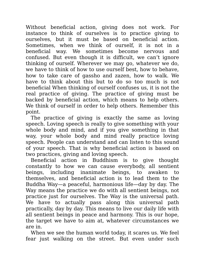Without beneficial action, giving does not work. For instance to think of ourselves is to practice giving to ourselves, but it must be based on beneficial action. Sometimes, when we think of ourself, it is not in a beneficial way. We sometimes become nervous and confused. But even though it is difficult, we can't ignore thinking of ourself. Wherever we may go, whatever we do, we have to think of how to use ourself best, how to behave, how to take care of gassho and zazen, how to walk. We have to think about this but to do so too much is not beneficial When thinking of ourself confuses us, it is not the real practice of giving. The practice of giving must be backed by beneficial action, which means to help others. We think of ourself in order to help others. Remember this point.

The practice of giving is exactly the same as loving speech. Loving speech is really to give something with your whole body and mind, and if you give something in that way, your whole body and mind really practice loving speech. People can understand and can listen to this sound of your speech. That is why beneficial action is based on two practices, giving and loving speech.

Beneficial action in Buddhism is to give thought constantly to how we can cause everybody, all sentient beings, including inanimate beings, to awaken to themselves, and beneficial action is to lead them to the Buddha Way—a peaceful, harmonious life—day by day. The Way means the practice we do with all sentient beings, not practice just for ourselves. The Way is the universal path. We have to actually pass along this universal path practically, day by day. This means to live our daily life with all sentient beings in peace and harmony. This is our hope, the target we have to aim at, whatever circumstances we are in.

When we see the human world today, it scares us. We feel fear just walking on the street. But even under such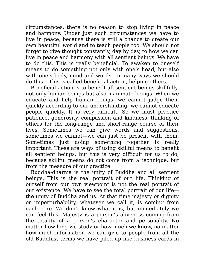circumstances, there is no reason to stop living in peace and harmony. Under just such circumstances we have to live in peace, because there is still a chance to create our own beautiful world and to teach people too. We should not forget to give thought constantly, day by day, to how we can live in peace and harmony with all sentient beings. We have to do this. This is really beneficial. To awaken to oneself means to do something not only with one's head, but also with one's body, mind and words. In many ways we should do this. "This is called beneficial action, helping others.

Beneficial action is to benefit all sentient beings skillfully, not only human beings but also inanimate beings. When we educate and help human beings, we cannot judge them quickly according to our understanding; we cannot educate people quickly. It is very difficult. So we must practice patience, generosity, compassion and kindness, thinking of others for the long-range and short-range course of their lives. Sometimes we can give words and suggestions, sometimes we cannot—we can just be present with them. Sometimes just doing something together is really important. These are ways of using skillful means to benefit all sentient beings, but this is very difficult for us to do, because skillful means do not come from a technique, but from the measure of our practice.

Buddha-dharma is the unity of Buddha and all sentient beings. This is the real portrait of our life. Thinking of ourself from our own viewpoint is not the real portrait of our existence. We have to see the total portrait of our life the unity of Buddha and us. At that time majesty or dignity or imperturbability, whatever we call it, is coming from each pore. We don't know what it is, but immediately we can feel this. Majesty is a person's aliveness coming from the totality of a person's character and personality. No matter how long we study or how much we know, no matter how much information we can give to people from all the old Buddhist terms we have piled up like business cards in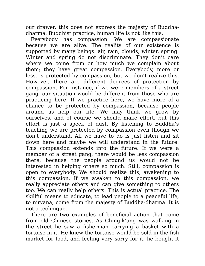our drawer, this does not express the majesty of Buddhadharma. Buddhist practice, human life is not like this.

Everybody has compassion. We are compassionate because we are alive. The reality of our existence is supported by many beings: air, rain, clouds, winter, spring. Winter and spring do not discriminate. They don't care where we come from or how much we complain about them; they have great compassion. Everybody, more or less, is protected by compassion, but we don't realize this. However, there are different degrees of protection by compassion. For instance, if we were members of a street gang, our situation would be different from those who are practicing here. If we practice here, we have more of a chance to be protected by compassion, because people around us help our life. We may think we grow by ourselves, and of course we should make effort, but this effort is just a speck of dust. By listening to Buddha's teaching we are protected by compassion even though we don't understand. All we have to do is just listen and sit down here and maybe we will understand in the future. This compassion extends into the future. If we were a member of a street gang, there would be less compassion there, because the people around us would not be interested in helping others so much. Still, compassion is open to everybody. We should realize this, awakening to this compassion. If we awaken to this compassion, we really appreciate others and can give something to others too. We can really help others: This is actual practice. The skillful means to educate, to lead people to a peaceful life, to nirvana, come from the majesty of Buddha-dharma. It is not a technique.

There are two examples of beneficial action that come from old Chinese stories. As Ching-k'ang was walking in the street he saw a fisherman carrying a basket with a tortoise in it. He knew the tortoise would be sold in the fish market for food, and feeling very sorry for it, he bought it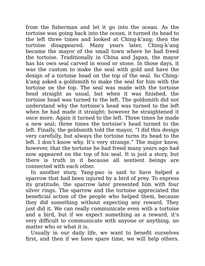from the fisherman and let it go into the ocean. As the tortoise was going back into the ocean, it turned its head to the left three times and looked at Ching-k'ang; then the tortoise disappeared. Many years later, Ching-k'ang became the mayor of the small town where he had freed the tortoise. Traditionally in China and Japan, the mayor has his own seal carved in wood or stone. In those days, it was the custom to make the seal with gold and have the design of a tortoise head on the top of the seal. So Chingk'ang asked a goldsmith to make the seal for him with the tortoise on the top. The seal was made with the tortoise head straight as usual, but when it was finished, the tortoise head was turned to the left. The goldsmith did not understand why the tortoise's head was turned to the left when he had made it straight; however he straightened it once more. Again it turned to the left. Three times he made a new seal; three times the tortoise's head turned to the left. Finally, the goldsmith told the mayor, "I did this design very carefully, but always the tortoise turns its head to the left. I don't know why. It's very strange." The major knew, however, that the tortoise he had freed many years ago had now appeared on the top of his seal. It is just a story, but there is truth in it because all sentient beings are connected with each other.

In another story, Yang-pao is said to have helped a sparrow that had been injured by a bird of prey. To express its gratitude, the sparrow later presented him with four silver rings. The sparrow and the tortoise appreciated the beneficial action of the people who helped them, because they did something without expecting any reward. They just did it. We can really communicate even with a tortoise and a bird, but if we expect something as a reward, it's very difficult to communicate with anyone or anything, no matter who or what it is.

Usually in our daily life, we want to benefit ourselves first, and then if we have spare time, we will help others.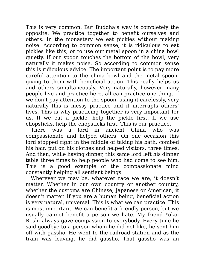This is very common. But Buddha's way is completely the opposite. We practice together to benefit ourselves and others. In the monastery we eat pickles without making noise. According to common sense, it is ridiculous to eat pickles like this, or to use our metal spoon in a china bowl quietly. If our spoon touches the bottom of the bowl, very naturally it makes noise. So according to common sense this is ridiculous advice. The important point is to pay more careful attention to the china bowl and the metal spoon, giving to them with beneficial action. This really helps us and others simultaneously. Very naturally, however many people live and practice here, all can practice one thing. If we don't pay attention to the spoon, using it carelessly, very naturally this is messy practice and it interrupts others' lives. This is why practicing together is very important for us. If we eat a pickle, help the pickle first. If we use chopsticks, help the chopsticks first. This is our practice.

There was a lord in ancient China who was compassionate and helped others. On one occasion this lord stopped right in the middle of taking his bath, combed his hair, put on his clothes and helped visitors, three times. And then, while having dinner, this same lord left his dinner table three times to help people who had come to see him. This is a good example of the compassionate mind constantly helping all sentient beings.

Wherever we may be, whatever race we are, it doesn't matter. Whether in our own country or another country, whether the customs are Chinese, Japanese or American, it doesn't matter. If you are a human being, beneficial action is very natural, universal. This is what we can practice. This is most important. We can benefit a friendly person, but we usually cannot benefit a person we hate. My friend Yokoi Roshi always gave compassion to everybody. Every time he said goodbye to a person whom he did not like, he sent him off with gassho. He went to the railroad station and as the train was leaving, he did gassho. That gassho was an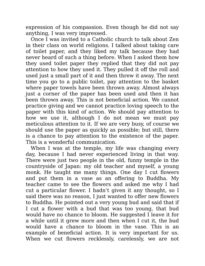expression of his compassion. Even though he did not say anything, I was very impressed.

Once I was invited to a Catholic church to talk about Zen in their class on world religions. I talked about taking care of toilet paper, and they liked my talk because they had never heard of such a thing before. When I asked them how they used toilet paper they replied that they did not pay attention to how they used it. They pulled it off the roll and used just a small part of it and then threw it away. The next time you go to a public toilet, pay attention to the basket where paper towels have been thrown away. Almost always just a corner of the paper has been used and then it has been thrown away. This is not beneficial action. We cannot practice giving and we cannot practice loving speech to the paper with this kind of action. We should pay attention to how we use it, although I do not mean we must pay meticulous attention to it. If we are very busy, of course we should use the paper as quickly as possible; but still, there is a chance to pay attention to the existence of the paper. This is a wonderful communication.

When I was at the temple, my life was changing every day, because I had never experienced living in that way. There were just two people in the old, funny temple in the countryside of Japan: my old teacher and myself, a young monk. He taught me many things. One day I cut flowers and put them in a vase as an offering to Buddha. My teacher came to see the flowers and asked me why I had cut a particular flower. I hadn't given it any thought, so I said there was no reason, I just wanted to offer new flowers to Buddha. He pointed out a very young bud and said that if I cut a flower with a bud that was too young, that bud would have no chance to bloom. He suggested I leave it for a while until it grew more and then when I cut it, the bud would have a chance to bloom in the vase. This is an example of beneficial action. It is very important for us. When we cut flowers recklessly, carelessly, we are not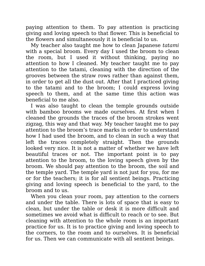paying attention to them. To pay attention is practicing giving and loving speech to that flower. This is beneficial to the flowers and simultaneously it is beneficial to us.

My teacher also taught me how to clean Japanese *tatami* with a special broom. Every day I used the broom to clean the room, but I used it without thinking, paying no attention to how I cleaned. My teacher taught me to pay attention to the tatami, cleaning with the direction of the grooves between the straw rows rather than against them, in order to get all the dust out. After that I practiced giving to the tatami and to the broom; I could express loving speech to them, and at the same time this action was beneficial to me also.

I was also taught to clean the temple grounds outside with bamboo brooms we made ourselves. At first when I cleaned the grounds the traces of the broom strokes went zigzag, this way and that way. My teacher taught me to pay attention to the broom's trace marks in order to understand how I had used the broom, and to clean in such a way that left the traces completely straight. Then the grounds looked very nice. It is not a matter of whether we have left beautiful traces or not. The important point is to pay attention to the broom, to the loving speech given by the broom. We should pay attention to the broom, the soil and the temple yard. The temple yard is not just for you, for me or for the teachers; it is for all sentient beings. Practicing giving and loving speech is beneficial to the yard, to the broom and to us.

When you clean your room, pay attention to the corners and under the table. There is lots of space that is easy to clean, but under the table or desk it is more difficult and sometimes we avoid what is difficult to reach or to see. But cleaning with attention to the whole room is an important practice for us. It is to practice giving and loving speech to the corners, to the room and to ourselves. It is beneficial for us. Then we can communicate with all sentient beings.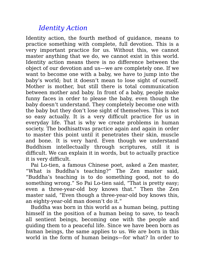### *Identity Action*

Identity action, the fourth method of guidance, means to practice something with complete, full devotion. This is a very important practice for us. Without this, we cannot master anything that we do, we cannot exist in this world. Identity action means there is no difference between the object of our devotion and us—we are completely one. If we want to become one with a baby, we have to jump into the baby's world; but it doesn't mean to lose sight of ourself. Mother is mother, but still there is total communication between mother and baby. In front of a baby, people make funny faces in order to please the baby, even though the baby doesn't understand. They completely become one with the baby but they don't lose sight of themselves. This is not so easy actually. It is a very difficult practice for us in everyday life. That is why we create problems in human society. The bodhisattvas practice again and again in order to master this point until it penetrates their skin, muscle and bone. It is very hard. Even though we understand Buddhism intellectually through scriptures, still it is difficult. We can explain it in words, but to actually practice it is very difficult.

Pai Lo-tien, a famous Chinese poet, asked a Zen master, "What is Buddha's teaching?" The Zen master said, "Buddha's teaching is to do something good, not to do something wrong." So Pai Lo-tien said, "That is pretty easy; even a three-year-old boy knows that." Then the Zen master said, "Even though a three-year-old boy knows this, an eighty-year-old man doesn't do it."

Buddha was born in this world as a human being, putting himself in the position of a human being to save, to teach all sentient beings, becoming one with the people and guiding them to a peaceful life. Since we have been born as human beings, the same applies to us. We are born in this world in the form of human beings—for what? In order to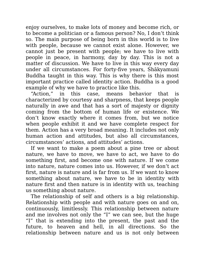enjoy ourselves, to make lots of money and become rich, or to become a politician or a famous person? No, I don't think so. The main purpose of being born in this world is to live with people, because we cannot exist alone. However, we cannot just be present with people; we have to live with people in peace, in harmony, day by day. This is not a matter of discussion. We have to live in this way every day under all circumstances. For forty-five years, Shākyamuni Buddha taught in this way. This is why there is this most important practice called identity action. Buddha is a good example of why we have to practice like this.

"Action," in this case, means behavior that is characterized by courtesy and sharpness, that keeps people naturally in awe and that has a sort of majesty or dignity coming from the bottom of human life or existence. We don't know exactly where it comes from, but we notice when people exhibit it and we have complete respect for them. Action has a very broad meaning. It includes not only human action and attitudes, but also all circumstances, circumstances' actions, and attitudes' actions.

If we want to make a poem about a pine tree or about nature, we have to move, we have to act, we have to do something first, and become one with nature. If we come into nature, nature comes into us. However, if we don't act first, nature is nature and is far from us. If we want to know something about nature, we have to be in identity with nature first and then nature is in identity with us, teaching us something about nature.

The relationship of self and others is a big relationship. Relationship with people and with nature goes on and on, continuously, limitlessly. This relationship between nature and me involves not only the "I" we can see, but the huge "I" that is extending into the present, the past and the future, to heaven and hell, in all directions. So the relationship between nature and us is not only between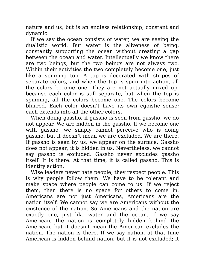nature and us, but is an endless relationship, constant and dynamic.

If we say the ocean consists of water, we are seeing the dualistic world. But water is the aliveness of being, constantly supporting the ocean without creating a gap between the ocean and water. Intellectually we know there are two beings, but the two beings are not always two. Within their activities the two completely become one, just like a spinning top. A top is decorated with stripes of separate colors, and when the top is spun into action, all the colors become one. They are not actually mixed up, because each color is still separate, but when the top is spinning, all the colors become one. The colors become blurred. Each color doesn't have its own egoistic sense; each extends into all the other colors.

When doing gassho, if gassho is seen from gassho, we do not appear. We are hidden in the gassho. If we become one with gassho, we simply cannot perceive who is doing gassho, but it doesn't mean we are excluded. We are there. If gassho is seen by us, we appear on the surface. Gassho does not appear; it is hidden in us. Nevertheless, we cannot say gassho is excluded. Gassho never excludes gassho itself. It is there. At that time, it is called gassho. This is identity action.

Wise leaders never hate people; they respect people. This is why people follow them. We have to be tolerant and make space where people can come to us. If we reject them, then there is no space for others to come in. Americans are not just Americans, Americans are the nation itself. We cannot say we are Americans without the existence of the nation. So Americans and the nation are exactly one, just like water and the ocean. If we say American, the nation is completely hidden behind the American, but it doesn't mean the American excludes the nation. The nation is there. If we say nation, at that time American is hidden behind nation, but it is not excluded; it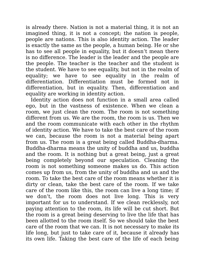is already there. Nation is not a material thing, it is not an imagined thing, it is not a concept; the nation is people, people are nations. This is also identity action. The leader is exactly the same as the people, a human being. He or she has to see all people in equality, but it doesn't mean there is no difference. The leader is the leader and the people are the people. The teacher is the teacher and the student is the student. We have to see equality, but not in the realm of equality; we have to see equality in the realm of differentiation. Differentiation must be formed not in differentiation, but in equality. Then, differentiation and equality are working in identity action.

Identity action does not function in a small area called ego, but in the vastness of existence. When we clean a room, we just clean the room. The room is not something different from us. We are the room, the room is us. Then we and the room communicate with each other in the rhythm of identity action. We have to take the best care of the room we can, because the room is not a material being apart from us. The room is a great being called Buddha-dharma. Buddha-dharma means the unity of buddha and us, buddha and the room. It is nothing but a great being, just a great being completely beyond our speculation. Cleaning the room is not something someone makes us do. This action comes up from us, from the unity of buddha and us and the room. To take the best care of the room means whether it is dirty or clean, take the best care of the room. If we take care of the room like this, the room can live a long time; if we don't, the room does not live long. This is very important for us to understand. If we clean recklessly, not paying attention to the room, its life will be cut short. But the room is a great being deserving to live the life that has been allotted to the room itself. So we should take the best care of the room that we can. It is not necessary to make its life long, but just to take care of it, because it already has its own life. Taking the best care of the life of each being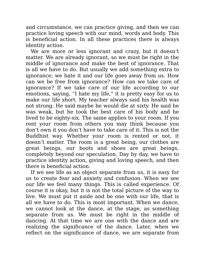and circumstance, we can practice giving, and then we can practice loving speech with our mind, words and body. This is beneficial action. In all these practices there is always identity action.

We are more or less ignorant and crazy, but it doesn't matter. We are already ignorant, so we must be right in the middle of ignorance and make the best of ignorance. That is all we have to do. But usually we add something extra to ignorance; we hate it and our life goes away from us. How can we be free from ignorance? How can we take care of ignorance? If we take care of our life according to our emotions, saying, "I hate my life," it is pretty easy for us to make our life short. My teacher always said his health was not strong. He said maybe he would die at sixty. He said he was weak, but he took the best care of his body and he lived to be eighty-six. The same applies to your room. If you rent your room from others you may think because you don't own it you don't have to take care of it. This is not the Buddhist way. Whether your room is rented or not, it doesn't matter. The room is a great being, our clothes are great beings, our boots and shoes are great beings, completely beyond our speculation. Day by day, we have to practice identity action, giving and loving speech, and then there is beneficial action.

If we see life as an object separate from us, it is easy for us to create fear and anxiety and confusion. When we see our life we feel many things. This is called experience. Of course it is okay, but it is not the total picture of the way to live. We must put it aside and be one with our life, that is all we have to do. This is most important. When we dance, we cannot look at the dance, at the stage, as something separate from us. We must be right in the middle of dancing. At that time we are one with the dance and are realizing the significance of the dance. Later, when we reflect on the significance of dance, we are separate from